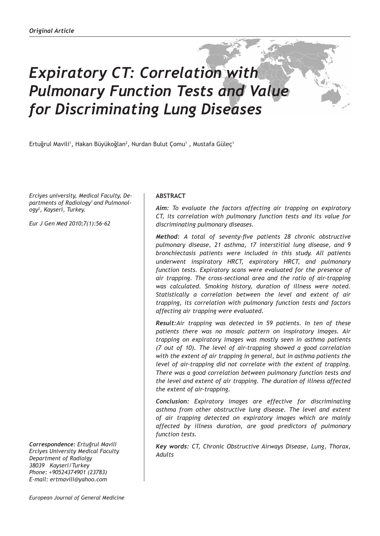# *Expiratory CT: Correlation with Pulmonary Function Tests and Value for Discriminating Lung Diseases*

Ertuğrul Mavili<sup>1</sup>, Hakan Büyükoğlan<sup>2</sup>, Nurdan Bulut Çomu<sup>1</sup> , Mustafa Güleç<sup>1</sup>

*Erciyes university, Medical Faculty, Departments of Radiology1 and Pulmonology<sup>2</sup> , Kayseri, Turkey.*

*Eur J Gen Med 2010;7(1):56-62*

*Correspondence: Ertuğrul Mavili Erciyes University Medical Faculty Department of Radiolgy 38039 Kayseri/Turkey Phone: +90524374901 (23783) E-mail: ertmavili@yahoo.com*

#### **ABSTRACT**

*Aim: To evaluate the factors affecting air trapping on expiratory CT, its correlation with pulmonary function tests and its value for discriminating pulmonary diseases.* 

*Method: A total of seventy-five patients 28 chronic obstructive pulmonary disease, 21 asthma, 17 interstitial lung disease, and 9 bronchiectasis patients were included in this study. All patients underwent inspiratory HRCT, expiratory HRCT, and pulmonary function tests. Expiratory scans were evaluated for the presence of air trapping. The cross-sectional area and the ratio of air-trapping was calculated. Smoking history, duration of illness were noted. Statistically a correlation between the level and extent of air trapping, its correlation with pulmonary function tests and factors affecting air trapping were evaluated.*

*Result:Air trapping was detected in 59 patients. In ten of these patients there was no mosaic pattern on inspiratory images. Air trapping on expiratory images was mostly seen in asthma patients (7 out of 10). The level of air-trapping showed a good correlation with the extent of air trapping in general, but in asthma patients the level of air-trapping did not correlate with the extent of trapping. There was a good correlation between pulmonary function tests and the level and extent of air trapping. The duration of illness affected the extent of air-trapping.* 

*Conclusion: Expiratory images are effective for discriminating asthma from other obstructive lung disease. The level and extent of air trapping detected on expiratory images which are mainly affected by illness duration, are good predictors of pulmonary function tests.*

*Key words: CT, Chronic Obstructive Airways Disease, Lung, Thorax, Adults*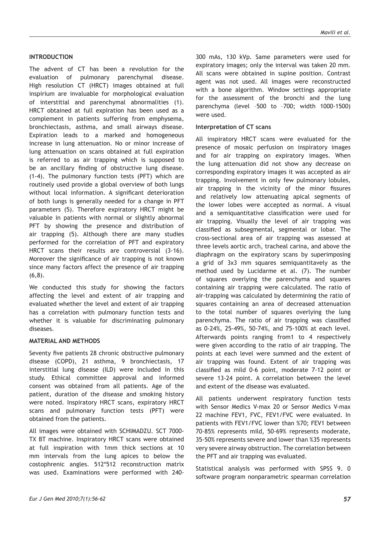## *Mavili et al.*

## **INTRODUCTION**

The advent of CT has been a revolution for the evaluation of pulmonary parenchymal disease. High resolution CT (HRCT) images obtained at full inspirium are invaluable for morphological evaluation of interstitial and parenchymal abnormalities (1). HRCT obtained at full expiration has been used as a complement in patients suffering from emphysema, bronchiectasis, asthma, and small airways disease. Expiration leads to a marked and homogeneous increase in lung attenuation. No or minor increase of lung attenuation on scans obtained at full expiration is referred to as air trapping which is supposed to be an ancillary finding of obstructive lung disease. (1-4). The pulmonary function tests (PFT) which are routinely used provide a global overview of both lungs without local information. A significant deterioration of both lungs is generally needed for a change in PFT parameters (5). Therefore expiratory HRCT might be valuable in patients with normal or slightly abnormal PFT by showing the presence and distribution of air trapping (5). Although there are many studies performed for the correlation of PFT and expiratory HRCT scans their results are controversial (3-16). Moreover the significance of air trapping is not known since many factors affect the presence of air trapping (6,8).

We conducted this study for showing the factors affecting the level and extent of air trapping and evaluated whether the level and extent of air trapping has a correlation with pulmonary function tests and whether it is valuable for discriminating pulmonary diseases.

#### **MATERIAL AND METHODS**

Seventy five patients 28 chronic obstructive pulmonary disease (COPD), 21 asthma, 9 bronchiectasis, 17 interstitial lung disease (ILD) were included in this study. Ethical committee approval and informed consent was obtained from all patients. Age of the patient, duration of the disease and smoking history were noted. Inspiratory HRCT scans, expiratory HRCT scans and pulmonary function tests (PFT) were obtained from the patients.

All images were obtained with SCHIMADZU. SCT 7000- TX BT machine. Inspiratory HRCT scans were obtained at full inspiration with 1mm thick sections at 10 mm intervals from the lung apices to below the costophrenic angles. 512\*512 reconstruction matrix was used. Examinations were performed with 240-

300 mAs, 130 kVp. Same parameters were used for expiratory images; only the interval was taken 20 mm. All scans were obtained in supine position. Contrast agent was not used. All images were reconstructed with a bone algorithm. Window settings appropriate for the assessment of the bronchi and the lung parenchyma (level –500 to –700; width 1000-1500) were used.

#### **Interpretation of CT scans**

All inspiratory HRCT scans were evaluated for the presence of mosaic perfusion on inspiratory images and for air trapping on expiratory images. When the lung attenuation did not show any decrease on corresponding expiratory images it was accepted as air trapping. Involvement in only few pulmonary lobules, air trapping in the vicinity of the minor fissures and relatively low attenuating apical segments of the lower lobes were accepted as normal. A visual and a semiquantitative classification were used for air trapping. Visually the level of air trapping was classified as subsegmental, segmental or lobar. The cross-sectional area of air trapping was assessed at three levels aortic arch, tracheal carina, and above the diaphragm on the expiratory scans by superimposing a grid of 3x3 mm squares semiquantitavely as the method used by Lucidarme et al. (7). The number of squares overlying the parenchyma and squares containing air trapping were calculated. The ratio of air-trapping was calculated by determining the ratio of squares containing an area of decreased attenuation to the total number of squares overlying the lung parenchyma. The ratio of air trapping was classified as 0-24%, 25-49%, 50-74%, and 75-100% at each level. Afterwards points ranging from1 to 4 respectively were given according to the ratio of air trapping. The points at each level were summed and the extent of air trapping was found. Extent of air trapping was classified as mild 0-6 point, moderate 7-12 point or severe 13-24 point. A correlation between the level and extent of the disease was evaluated.

All patients underwent respiratory function tests with Sensor Medics V-max 20 or Sensor Medics V-max 22 machine FEV1, FVC, FEV1/FVC were evaluated. In patients with FEV1/FVC lower than %70; FEV1 between 70-85% represents mild, 50-69% represents moderate, 35-50% represents severe and lower than %35 represents very severe airway obstruction. The correlation between the PFT and air trapping was evaluated.

Statistical analysis was performed with SPSS 9. 0 software program nonparametric spearman correlation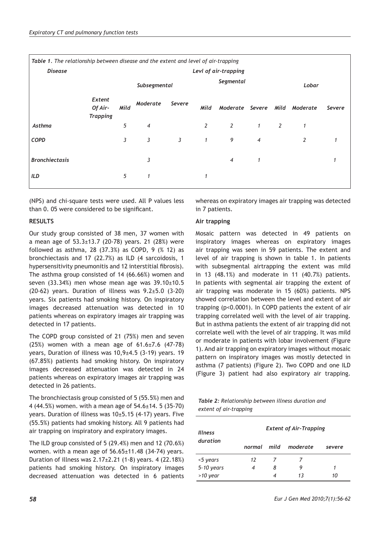| Table 1. The relationship between disease and the extent and level of air-trapping |                                      |                      |              |              |                |                      |                |   |                |        |  |
|------------------------------------------------------------------------------------|--------------------------------------|----------------------|--------------|--------------|----------------|----------------------|----------------|---|----------------|--------|--|
| <b>Disease</b>                                                                     |                                      | Levl of air-trapping |              |              |                |                      |                |   |                |        |  |
|                                                                                    |                                      |                      | Subsegmental |              | Segmental      |                      |                |   | Lobar          |        |  |
|                                                                                    | Extent<br>Of Air-<br><b>Trapping</b> | Mild                 | Moderate     | Severe       | Mild           | Moderate Severe Mild |                |   | Moderate       | Severe |  |
| Asthma                                                                             |                                      | 5                    | 4            |              | $\overline{2}$ | 2                    | $\mathbf{1}$   | 2 | 1              |        |  |
| <b>COPD</b>                                                                        |                                      | 3                    | 3            | $\mathbf{3}$ | $\mathbf{1}$   | 9                    | $\overline{4}$ |   | $\overline{2}$ |        |  |
| <b>Bronchiectasis</b>                                                              |                                      |                      | 3            |              |                | $\overline{4}$       | 1              |   |                |        |  |
| <b>ILD</b>                                                                         |                                      | 5                    |              |              |                |                      |                |   |                |        |  |

(NPS) and chi-square tests were used. All P values less than 0. 05 were considered to be significant.

## **RESULTS**

Our study group consisted of 38 men, 37 women with a mean age of  $53.3\pm13.7$  (20-78) years. 21 (28%) were followed as asthma, 28 (37.3%) as COPD, 9 (% 12) as bronchiectasis and 17 (22.7%) as ILD (4 sarcoidosis, 1 hypersensitivity pneumonitis and 12 interstitial fibrosis). The asthma group consisted of 14 (66.66%) women and seven  $(33.34%)$  men whose mean age was  $39.10±10.5$ (20-62) years. Duration of illness was 9.2±5.0 (3-20) years. Six patients had smoking history. On inspiratory images decreased attenuation was detected in 10 patients whereas on expiratory images air trapping was detected in 17 patients.

The COPD group consisted of 21 (75%) men and seven (25%) women with a mean age of 61.6±7.6 (47-78) years, Duration of illness was 10,9±4.5 (3-19) years. 19 (67.85%) patients had smoking history. On inspiratory images decreased attenuation was detected in 24 patients whereas on expiratory images air trapping was detected in 26 patients.

The bronchiectasis group consisted of 5 (55.5%) men and 4 (44.5%) women. with a mean age of 54.6±14. 5 (35-70) years. Duration of illness was 10±5.15 (4-17) years. Five (55.5%) patients had smoking history. All 9 patients had air trapping on inspiratory and expiratory images.

The ILD group consisted of 5 (29.4%) men and 12 (70.6%) women. with a mean age of 56.65±11.48 (34-74) years. Duration of illness was 2.17±2.21 (1-8) years. 4 (22.18%) patients had smoking history. On inspiratory images decreased attenuation was detected in 6 patients whereas on expiratory images air trapping was detected in 7 patients.

## **Air trapping**

Mosaic pattern was detected in 49 patients on inspiratory images whereas on expiratory images air trapping was seen in 59 patients. The extent and level of air trapping is shown in table 1. In patients with subsegmental airtrapping the extent was mild in 13 (48.1%) and moderate in 11 (40.7%) patients. In patients with segmental air trapping the extent of air trapping was moderate in 15 (60%) patients. NPS showed correlation between the level and extent of air trapping (p<0.0001). In COPD patients the extent of air trapping correlated well with the level of air trapping. But in asthma patients the extent of air trapping did not correlate well with the level of air trapping. It was mild or moderate in patients with lobar involvement (Figure 1). And air trapping on expiratory images without mosaic pattern on inspiratory images was mostly detected in asthma (7 patients) (Figure 2). Two COPD and one ILD (Figure 3) patient had also expiratory air trapping.

*Table 2: Relationship between illness duration and extent of air-trapping*

| <b>Illness</b> | <b>Extent of Air-Trapping</b> |   |          |        |  |  |  |  |
|----------------|-------------------------------|---|----------|--------|--|--|--|--|
| duration       | normal mild                   |   | moderate | severe |  |  |  |  |
| <5 years       | 12                            |   |          |        |  |  |  |  |
| 5-10 years     | 4                             | 8 | 9        | 1      |  |  |  |  |
| $>10$ year     |                               | 4 | 13       | 10     |  |  |  |  |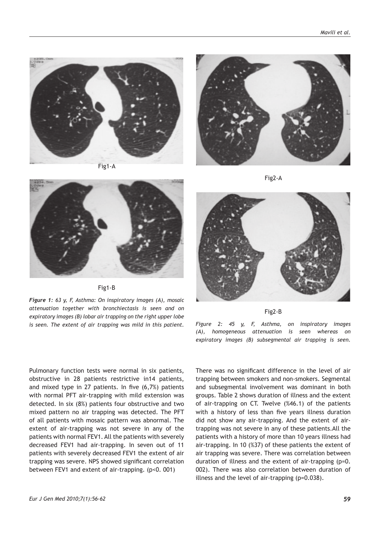

Fig1-A



Fig2-A



Fig1-B

*Figure 1: 63 y, F, Asthma: On inspiratory images (A), mosaic attenuation together with bronchiectasis is seen and on expiratory images (B) lobar air trapping on the right upper lobe is seen. The extent of air trapping was mild in this patient.*



Fig2-B

*Figure 2: 45 y, F, Asthma, on inspiratory images (A), homogeneous attenuation is seen whereas on expiratory images (B) subsegmental air trapping is seen.*

Pulmonary function tests were normal in six patients, obstructive in 28 patients restrictive in14 patients, and mixed type in 27 patients. In five (6,7%) patients with normal PFT air-trapping with mild extension was detected. In six (8%) patients four obstructive and two mixed pattern no air trapping was detected. The PFT of all patients with mosaic pattern was abnormal. The extent of air-trapping was not severe in any of the patients with normal FEV1. All the patients with severely decreased FEV1 had air-trapping. In seven out of 11 patients with severely decreased FEV1 the extent of air trapping was severe. NPS showed significant correlation between FEV1 and extent of air-trapping. (p<0. 001)

There was no significant difference in the level of air trapping between smokers and non-smokers. Segmental and subsegmental involvement was dominant in both groups. Table 2 shows duration of illness and the extent of air-trapping on CT. Twelve (%46.1) of the patients with a history of less than five years illness duration did not show any air-trapping. And the extent of airtrapping was not severe in any of these patients.All the patients with a history of more than 10 years illness had air-trapping. In 10 (%37) of these patients the extent of air trapping was severe. There was correlation between duration of illness and the extent of air-trapping (p=0. 002). There was also correlation between duration of illness and the level of air-trapping (p=0.038).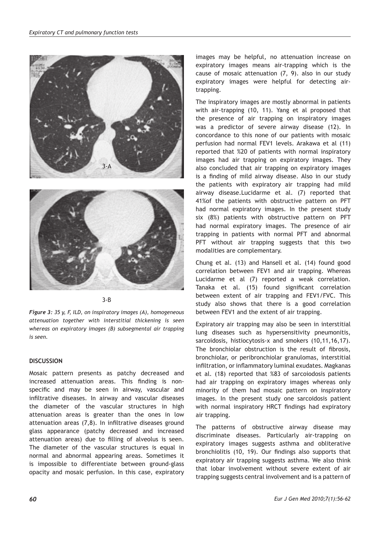



## 3-B

*Figure 3: 35 y, F, ILD, on inspiratory images (A), homogeneous attenuation together with interstitial thickening is seen whereas on expiratory images (B) subsegmental air trapping is seen.*

## **DISCUSSION**

Mosaic pattern presents as patchy decreased and increased attenuation areas. This finding is nonspecific and may be seen in airway, vascular and infiltrative diseases. In airway and vascular diseases the diameter of the vascular structures in high attenuation areas is greater than the ones in low attenuation areas (7,8). In infiltrative diseases ground glass appearance (patchy decreased and increased attenuation areas) due to filling of alveolus is seen. The diameter of the vascular structures is equal in normal and abnormal appearing areas. Sometimes it is impossible to differentiate between ground-glass opacity and mosaic perfusion. In this case, expiratory

images may be helpful, no attenuation increase on expiratory images means air-trapping which is the cause of mosaic attenuation (7, 9). also in our study expiratory images were helpful for detecting airtrapping.

The inspiratory images are mostly abnormal in patients with air-trapping (10, 11). Yang et al proposed that the presence of air trapping on inspiratory images was a predictor of severe airway disease (12). In concordance to this none of our patients with mosaic perfusion had normal FEV1 levels. Arakawa et al (11) reported that %20 of patients with normal inspiratory images had air trapping on expiratory images. They also concluded that air trapping on expiratory images is a finding of mild airway disease. Also in our study the patients with expiratory air trapping had mild airway disease.Lucidarme et al. (7) reported that 41%of the patients with obstructive pattern on PFT had normal expiratory images. In the present study six (8%) patients with obstructive pattern on PFT had normal expiratory images. The presence of air trapping in patients with normal PFT and abnormal PFT without air trapping suggests that this two modalities are complementary.

Chung et al. (13) and Hansell et al. (14) found good correlation between FEV1 and air trapping. Whereas Lucidarme et al (7) reported a weak correlation. Tanaka et al. (15) found significant correlation between extent of air trapping and FEV1/FVC. This study also shows that there is a good correlation between FEV1 and the extent of air trapping.

Expiratory air trapping may also be seen in interstitial lung diseases such as hypersensitivity pneumonitis, sarcoidosis, histiocytosis-x and smokers (10,11,16,17). The bronchiolar obstruction is the result of fibrosis, bronchiolar, or peribronchiolar granulomas, interstitial infiltration, or inflammatory luminal exudates. Magkanas et al. (18) reported that %83 of sarcoiodosis patients had air trapping on expiratory images whereas only minority of them had mosaic pattern on inspiratory images. In the present study one sarcoidosis patient with normal inspiratory HRCT findings had expiratory air trapping.

The patterns of obstructive airway disease may discriminate diseases. Particularly air-trapping on expiratory images suggests asthma and obliterative bronchiolitis (10, 19). Our findings also supports that expiratory air trapping suggests asthma. We also think that lobar involvement without severe extent of air trapping suggests central involvement and is a pattern of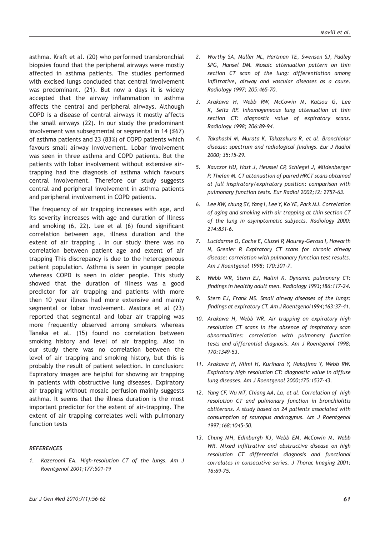asthma. Kraft et al. (20) who performed transbronchial biopsies found that the peripheral airways were mostly affected in asthma patients. The studies performed with excised lungs concluded that central involvement was predominant. (21). But now a days it is widely accepted that the airway inflammation in asthma affects the central and peripheral airways. Although COPD is a disease of central airways it mostly affects the small airways (22). In our study the predominant involvement was subsegmental or segmental in 14 (%67) of asthma patients and 23 (83%) of COPD patients which favours small airway involvement. Lobar involvement was seen in three asthma and COPD patients. But the patients with lobar involvement without extensive airtrapping had the diagnosis of asthma which favours central involvement. Therefore our study suggests central and peripheral involvement in asthma patients and peripheral involvement in COPD patients.

The frequency of air trapping increases with age, and its severity increases with age and duration of illness and smoking (6, 22). Lee et al (6) found significant correlation between age, illness duration and the extent of air trapping . In our study there was no correlation between patient age and extent of air trapping This discrepancy is due to the heterogeneous patient population. Asthma is seen in younger people whereas COPD is seen in older people. This study showed that the duration of illness was a good predictor for air trapping and patients with more then 10 year illness had more extensive and mainly segmental or lobar involvement. Mastora et al (23) reported that segmental and lobar air trapping was more frequently observed among smokers whereas Tanaka et al. (15) found no correlation between smoking history and level of air trapping. Also in our study there was no correlation between the level of air trapping and smoking history, but this is probably the result of patient selection. In conclusion: Expiratory images are helpful for showing air trapping in patients with obstructive lung diseases. Expiratory air trapping without mosaic perfusion mainly suggests asthma. It seems that the illness duration is the most important predictor for the extent of air-trapping. The extent of air trapping correlates well with pulmonary function tests

## *REFERENCES*

*1. Kazerooni EA. High-resolution CT of the lungs. Am J Roentgenol 2001;177:501-19*

- *2. Worthy SA, Müller NL, Hartman TE, Swensen SJ, Padley SPG, Hansel DM. Mosaic attenuation pattern on thin section CT scan of the lung: differentiation among infiltrative, airway and vascular diseases as a cause. Radiology 1997; 205:465-70.*
- *3. Arakawa H, Webb RW, McCowin M, Katsou G, Lee K, Seitz RF. Inhomogeneous lung attenuation at thin section CT: diagnostic value of expiratory scans. Radiology 1998; 206:89-94.*
- *4. Takahashi M, Murata K, Takazakura R, et al. Bronchiolar disease: spectrum and radiological findings. Eur J Radiol 2000; 35:15-29.*
- *5. Kauczor HU, Hast J, Heussel CP, Schlegel J, Mildenberger P, Thelen M. CT attenuation of paired HRCT scans obtained at full inspiratory/expiratory position: comparison with pulmonary function tests. Eur Radiol 2002;12: 2757-63.*
- *6. Lee KW, chung SY, Yang I, Lee Y, Ko YE, Park MJ. Correlation of aging and smoking with air trapping at thin section CT of the lung in asymptomatic subjects. Radiology 2000; 214:831-6.*
- *7. Lucidarme O, Coche E, Cluzel P, Mourey-Gerosa I, Howarth N, Grenier P. Expiratory CT scans for chronic airway disease: correlation with pulmonary function test results. Am J Roentgenol 1998; 170:301-7.*
- *8. Webb WR, Stern EJ, Nalini K. Dynamic pulmonary CT: findings in healthy adult men. Radiology 1993;186:117-24.*
- *9. Stern EJ, Frank MS. Small airway diseases of the lungs: findings at expiratory CT. Am J Roentgenol1994;163:37-41.*
- *10. Arakawa H, Webb WR. Air trapping on expiratory high resolution CT scans in the absence of inspiratory scan abnormalities: correlation with pulmonary function tests and differential diagnosis. Am J Roentgenol 1998; 170:1349-53.*
- *11. Arakawa H, Niimi H, Kurihara Y, Nakajima Y, Webb RW. Expiratory high resolution CT: diagnostic value in diffuse lung diseases. Am J Roentgenol 2000;175:1537-43.*
- *12. Yang CF, Wu MT, Chiang AA, La, et al. Correlation of high resolution CT and pulmonary function in bronchiolitis obliterans. A study based on 24 patients associated with consumption of sauropus androgynus. Am J Roentgenol 1997;168:1045-50.*
- *13. Chung MH, Edinburgh KJ, Webb EM, McCowin M, Webb WR. Mixed infiltrative and obstructive disease on high resolution CT differential diagnosis and functional correlates in consecutive series. J Thorac Imaging 2001; 16:69-75.*